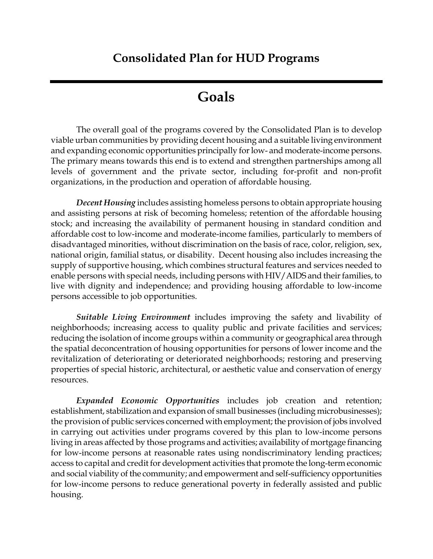# **Consolidated Plan for HUD Programs**

# **Goals**

The overall goal of the programs covered by the Consolidated Plan is to develop viable urban communities by providing decent housing and a suitable living environment and expanding economic opportunities principally for low- and moderate-income persons. The primary means towards this end is to extend and strengthen partnerships among all levels of government and the private sector, including for-profit and non-profit organizations, in the production and operation of affordable housing.

*Decent Housing* includes assisting homeless persons to obtain appropriate housing and assisting persons at risk of becoming homeless; retention of the affordable housing stock; and increasing the availability of permanent housing in standard condition and affordable cost to low-income and moderate-income families, particularly to members of disadvantaged minorities, without discrimination on the basis of race, color, religion, sex, national origin, familial status, or disability. Decent housing also includes increasing the supply of supportive housing, which combines structural features and services needed to enable persons with special needs, including persons with HIV/AIDS and their families, to live with dignity and independence; and providing housing affordable to low-income persons accessible to job opportunities.

*Suitable Living Environment* includes improving the safety and livability of neighborhoods; increasing access to quality public and private facilities and services; reducing the isolation of income groups within a community or geographical area through the spatial deconcentration of housing opportunities for persons of lower income and the revitalization of deteriorating or deteriorated neighborhoods; restoring and preserving properties of special historic, architectural, or aesthetic value and conservation of energy resources.

*Expanded Economic Opportunities* includes job creation and retention; establishment, stabilization and expansion of small businesses (including microbusinesses); the provision of public services concerned with employment; the provision of jobs involved in carrying out activities under programs covered by this plan to low-income persons living in areas affected by those programs and activities; availability of mortgage financing for low-income persons at reasonable rates using nondiscriminatory lending practices; access to capital and credit for development activities that promote the long-term economic and social viability of the community; and empowerment and self-sufficiency opportunities for low-income persons to reduce generational poverty in federally assisted and public housing.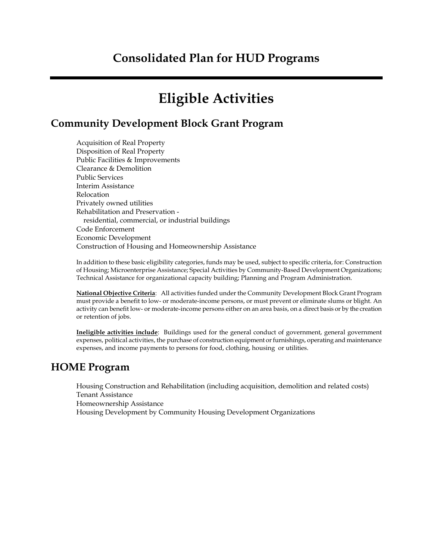# **Eligible Activities**

# **Community Development Block Grant Program**

Acquisition of Real Property Disposition of Real Property Public Facilities & Improvements Clearance & Demolition Public Services Interim Assistance Relocation Privately owned utilities Rehabilitation and Preservation residential, commercial, or industrial buildings Code Enforcement Economic Development Construction of Housing and Homeownership Assistance

In addition to these basic eligibility categories, funds may be used, subject to specific criteria, for: Construction of Housing; Microenterprise Assistance; Special Activities by Community-Based Development Organizations; Technical Assistance for organizational capacity building; Planning and Program Administration.

**National Objective Criteria**: All activities funded under the Community Development Block Grant Program must provide a benefit to low- or moderate-income persons, or must prevent or eliminate slums or blight. An activity can benefit low- or moderate-income persons either on an area basis, on a direct basis or by the creation or retention of jobs.

**Ineligible activities include**: Buildings used for the general conduct of government, general government expenses, political activities, the purchase of construction equipment or furnishings, operating and maintenance expenses, and income payments to persons for food, clothing, housing or utilities.

## **HOME Program**

Housing Construction and Rehabilitation (including acquisition, demolition and related costs) Tenant Assistance Homeownership Assistance Housing Development by Community Housing Development Organizations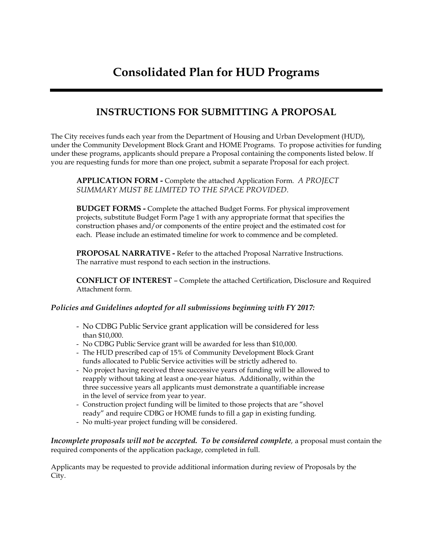## **INSTRUCTIONS FOR SUBMITTING A PROPOSAL**

The City receives funds each year from the Department of Housing and Urban Development (HUD), under the Community Development Block Grant and HOME Programs. To propose activities for funding under these programs, applicants should prepare a Proposal containing the components listed below. If you are requesting funds for more than one project, submit a separate Proposal for each project.

**APPLICATION FORM -** Complete the attached Application Form. *A PROJECT SUMMARY MUST BE LIMITED TO THE SPACE PROVIDED.*

**BUDGET FORMS -** Complete the attached Budget Forms. For physical improvement projects, substitute Budget Form Page 1 with any appropriate format that specifies the construction phases and/or components of the entire project and the estimated cost for each. Please include an estimated timeline for work to commence and be completed.

**PROPOSAL NARRATIVE -** Refer to the attached Proposal Narrative Instructions. The narrative must respond to each section in the instructions.

**CONFLICT OF INTEREST** – Complete the attached Certification, Disclosure and Required Attachment form.

#### *Policies and Guidelines adopted for all submissions beginning with FY 2017:*

- No CDBG Public Service grant application will be considered for less than \$10,000.
- No CDBG Public Service grant will be awarded for less than \$10,000.
- The HUD prescribed cap of 15% of Community Development Block Grant funds allocated to Public Service activities will be strictly adhered to.
- No project having received three successive years of funding will be allowed to reapply without taking at least a one-year hiatus. Additionally, within the three successive years all applicants must demonstrate a quantifiable increase in the level of service from year to year.
- Construction project funding will be limited to those projects that are "shovel ready" and require CDBG or HOME funds to fill a gap in existing funding.
- No multi-year project funding will be considered.

*Incomplete proposals will not be accepted. To be considered complete,* a proposal must contain the required components of the application package, completed in full.

Applicants may be requested to provide additional information during review of Proposals by the City.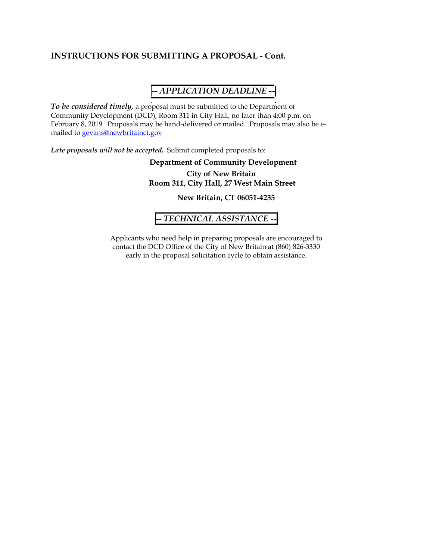#### **INSTRUCTIONS FOR SUBMITTING A PROPOSAL - Cont.**

#### **--** *APPLICATION DEADLINE --*

*To be considered timely,* a proposal must be submitted to the Department of Community Development (DCD), Room 311 in City Hall, no later than 4:00 p.m. on February 8, 2019. Proposals may be hand-delivered or mailed. Proposals may also be emailed to gevans@newbritainct.gov

*Late proposals will not be accepted***.** Submit completed proposals to:

#### **Department of Community Development City of New Britain Room 311, City Hall, 27 West Main Street**

**New Britain, CT 06051-4235** 

#### **--** *TECHNICAL ASSISTANCE -***-**

Applicants who need help in preparing proposals are encouraged to contact the DCD Office of the City of New Britain at (860) 826-3330 early in the proposal solicitation cycle to obtain assistance.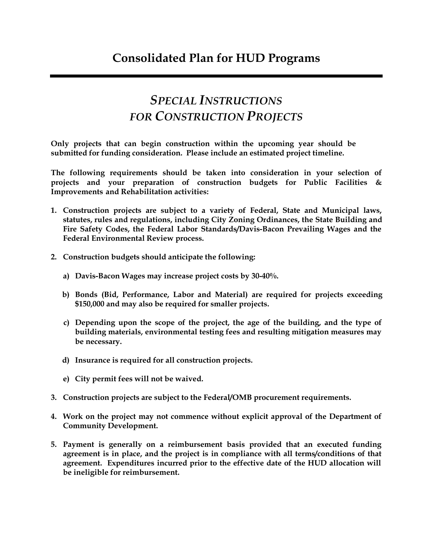# *SPECIAL INSTRUCTIONS FOR CONSTRUCTION PROJECTS*

**Only projects that can begin construction within the upcoming year should be submitted for funding consideration. Please include an estimated project timeline.** 

**The following requirements should be taken into consideration in your selection of projects and your preparation of construction budgets for Public Facilities & Improvements and Rehabilitation activities:** 

- **1. Construction projects are subject to a variety of Federal, State and Municipal laws, statutes, rules and regulations, including City Zoning Ordinances, the State Building and Fire Safety Codes, the Federal Labor Standards/Davis-Bacon Prevailing Wages and the Federal Environmental Review process.**
- **2. Construction budgets should anticipate the following:**
	- **a) Davis-Bacon Wages may increase project costs by 30-40%.**
	- **b) Bonds (Bid, Performance, Labor and Material) are required for projects exceeding \$150,000 and may also be required for smaller projects.**
	- **c) Depending upon the scope of the project, the age of the building, and the type of building materials, environmental testing fees and resulting mitigation measures may be necessary.**
	- **d) Insurance is required for all construction projects.**
	- **e) City permit fees will not be waived.**
- **3. Construction projects are subject to the Federal/OMB procurement requirements.**
- **4. Work on the project may not commence without explicit approval of the Department of Community Development.**
- **5. Payment is generally on a reimbursement basis provided that an executed funding agreement is in place, and the project is in compliance with all terms/conditions of that agreement. Expenditures incurred prior to the effective date of the HUD allocation will be ineligible for reimbursement.**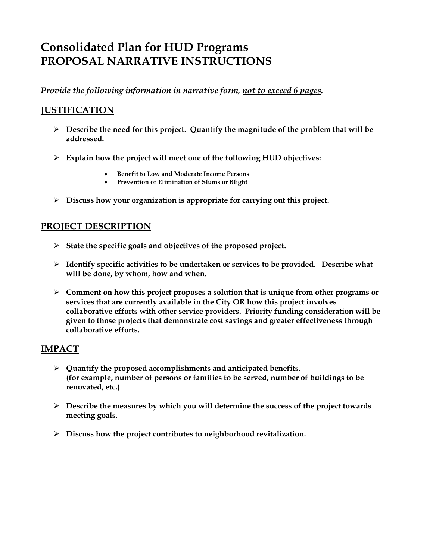# **Consolidated Plan for HUD Programs PROPOSAL NARRATIVE INSTRUCTIONS**

*Provide the following information in narrative form, not to exceed 6 pages.*

## **JUSTIFICATION**

- **Describe the need for this project. Quantify the magnitude of the problem that will be addressed.**
- **Explain how the project will meet one of the following HUD objectives:**
	- **Benefit to Low and Moderate Income Persons**
	- **Prevention or Elimination of Slums or Blight**
- **Discuss how your organization is appropriate for carrying out this project.**

### **PROJECT DESCRIPTION**

- **State the specific goals and objectives of the proposed project.**
- **Identify specific activities to be undertaken or services to be provided. Describe what will be done, by whom, how and when.**
- **Comment on how this project proposes a solution that is unique from other programs or services that are currently available in the City OR how this project involves collaborative efforts with other service providers. Priority funding consideration will be given to those projects that demonstrate cost savings and greater effectiveness through collaborative efforts.**

#### **IMPACT**

- **Quantify the proposed accomplishments and anticipated benefits. (for example, number of persons or families to be served, number of buildings to be renovated, etc.)**
- **Describe the measures by which you will determine the success of the project towards meeting goals.**
- **Discuss how the project contributes to neighborhood revitalization.**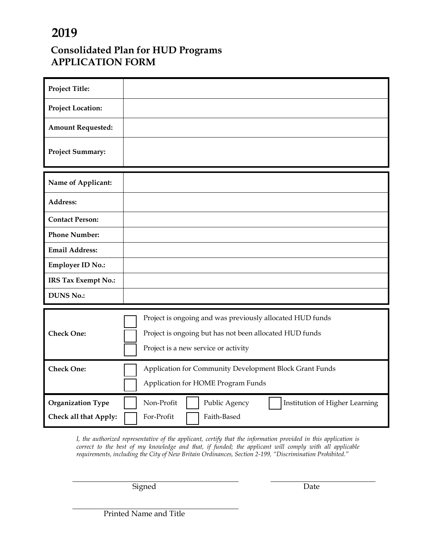# **2019**

## **Consolidated Plan for HUD Programs APPLICATION FORM**

| <b>Project Title:</b>    |                                                               |  |  |  |  |
|--------------------------|---------------------------------------------------------------|--|--|--|--|
| <b>Project Location:</b> |                                                               |  |  |  |  |
| <b>Amount Requested:</b> |                                                               |  |  |  |  |
| <b>Project Summary:</b>  |                                                               |  |  |  |  |
| Name of Applicant:       |                                                               |  |  |  |  |
| Address:                 |                                                               |  |  |  |  |
| <b>Contact Person:</b>   |                                                               |  |  |  |  |
| <b>Phone Number:</b>     |                                                               |  |  |  |  |
| <b>Email Address:</b>    |                                                               |  |  |  |  |
| <b>Employer ID No.:</b>  |                                                               |  |  |  |  |
| IRS Tax Exempt No.:      |                                                               |  |  |  |  |
| <b>DUNS No.:</b>         |                                                               |  |  |  |  |
|                          |                                                               |  |  |  |  |
|                          | Project is ongoing and was previously allocated HUD funds     |  |  |  |  |
| <b>Check One:</b>        | Project is ongoing but has not been allocated HUD funds       |  |  |  |  |
|                          | Project is a new service or activity                          |  |  |  |  |
| <b>Check One:</b>        | Application for Community Development Block Grant Funds       |  |  |  |  |
|                          | Application for HOME Program Funds                            |  |  |  |  |
| <b>Organization Type</b> | Non-Profit<br>Public Agency<br>Institution of Higher Learning |  |  |  |  |
| Check all that Apply:    | Faith-Based<br>For-Profit                                     |  |  |  |  |

*I, the authorized representative of the applicant, certify that the information provided in this application is correct to the best of my knowledge and that, if funded; the applicant will comply with all applicable requirements, including the City of New Britain Ordinances, Section 2-199, "Discrimination Prohibited."*

Signed Date

Printed Name and Title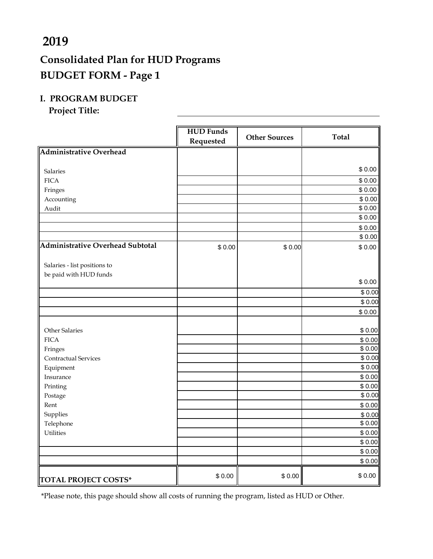# **2019**

# **Consolidated Plan for HUD Programs BUDGET FORM - Page 1**

## **I. PROGRAM BUDGET**

**Project Title:**

|                                         | <b>HUD Funds</b><br>Requested | <b>Other Sources</b> | <b>Total</b>     |
|-----------------------------------------|-------------------------------|----------------------|------------------|
| <b>Administrative Overhead</b>          |                               |                      |                  |
|                                         |                               |                      |                  |
| <b>Salaries</b>                         |                               |                      | \$0.00           |
| <b>FICA</b>                             |                               |                      | \$0.00           |
| Fringes                                 |                               |                      | \$0.00           |
| Accounting                              |                               |                      | \$0.00           |
| Audit                                   |                               |                      | \$0.00           |
|                                         |                               |                      | \$0.00           |
|                                         |                               |                      | \$0.00           |
|                                         |                               |                      | \$0.00           |
| <b>Administrative Overhead Subtotal</b> | \$0.00                        | \$0.00               | \$0.00           |
|                                         |                               |                      |                  |
| Salaries - list positions to            |                               |                      |                  |
| be paid with HUD funds                  |                               |                      |                  |
|                                         |                               |                      | \$0.00           |
|                                         |                               |                      | \$0.00           |
|                                         |                               |                      | \$0.00           |
|                                         |                               |                      | \$0.00           |
| Other Salaries                          |                               |                      |                  |
| <b>FICA</b>                             |                               |                      | \$0.00           |
| Fringes                                 |                               |                      | \$0.00<br>\$0.00 |
| Contractual Services                    |                               |                      | \$0.00           |
| Equipment                               |                               |                      | \$0.00           |
| Insurance                               |                               |                      | \$0.00           |
| Printing                                |                               |                      | \$0.00           |
| Postage                                 |                               |                      | \$0.00           |
| Rent                                    |                               |                      | \$0.00           |
| Supplies                                |                               |                      | \$0.00           |
| Telephone                               |                               |                      | \$0.00           |
| <b>Utilities</b>                        |                               |                      | \$0.00           |
|                                         |                               |                      | \$0.00           |
|                                         |                               |                      | \$0.00           |
|                                         |                               |                      | \$0.00           |
| <b>TOTAL PROJECT COSTS*</b>             | \$0.00                        | \$0.00               | \$0.00           |

\*Please note, this page should show all costs of running the program, listed as HUD or Other.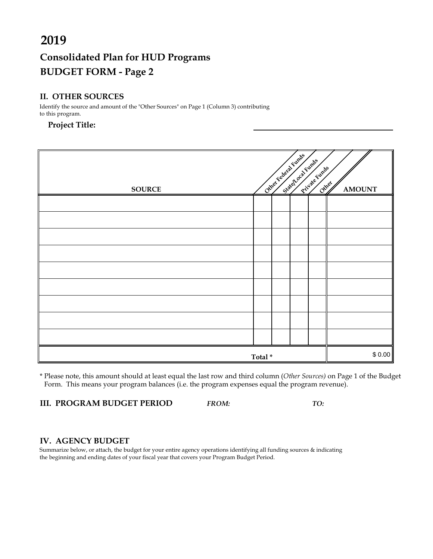# **Consolidated Plan for HUD Programs BUDGET FORM - Page 2**

#### **II. OTHER SOURCES**

| 2019                                                                                                        |        |  |                         |                        |               |
|-------------------------------------------------------------------------------------------------------------|--------|--|-------------------------|------------------------|---------------|
| <b>Consolidated Plan for HUD Programs</b>                                                                   |        |  |                         |                        |               |
| <b>BUDGET FORM - Page 2</b>                                                                                 |        |  |                         |                        |               |
|                                                                                                             |        |  |                         |                        |               |
| <b>II. OTHER SOURCES</b>                                                                                    |        |  |                         |                        |               |
| Identify the source and amount of the "Other Sources" on Page 1 (Column 3) contributing<br>to this program. |        |  |                         |                        |               |
| <b>Project Title:</b>                                                                                       |        |  |                         |                        |               |
|                                                                                                             |        |  |                         |                        |               |
|                                                                                                             |        |  | Chiley Federal Function |                        |               |
|                                                                                                             |        |  |                         |                        |               |
| <b>SOURCE</b>                                                                                               |        |  | Statehold Functs        | Private funds<br>Other | <b>AMOUNT</b> |
|                                                                                                             |        |  |                         |                        |               |
|                                                                                                             |        |  |                         |                        |               |
|                                                                                                             |        |  |                         |                        |               |
|                                                                                                             |        |  |                         |                        |               |
|                                                                                                             |        |  |                         |                        |               |
|                                                                                                             |        |  |                         |                        |               |
|                                                                                                             |        |  |                         |                        |               |
|                                                                                                             |        |  |                         |                        |               |
|                                                                                                             |        |  |                         |                        |               |
|                                                                                                             |        |  |                         |                        |               |
|                                                                                                             |        |  |                         |                        |               |
|                                                                                                             | Total* |  |                         |                        | \$0.00        |

\* Please note, this amount should at least equal the last row and third column (*Other Sources)* on Page 1 of the Budget Form. This means your program balances (i.e. the program expenses equal the program revenue).

**III. PROGRAM BUDGET PERIOD** *FROM: TO:*

#### **IV. AGENCY BUDGET**

Summarize below, or attach, the budget for your entire agency operations identifying all funding sources & indicating the beginning and ending dates of your fiscal year that covers your Program Budget Period.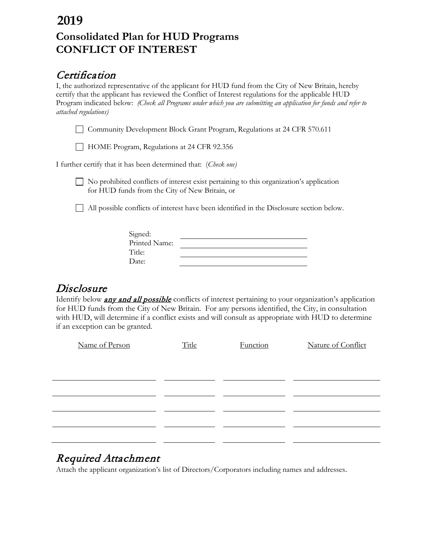# **Consolidated Plan for HUD Programs CONFLICT OF INTEREST 2019**

# **Certification**

I, the authorized representative of the applicant for HUD fund from the City of New Britain, hereby certify that the applicant has reviewed the Conflict of Interest regulations for the applicable HUD Program indicated below: *(Check all Programs under which you are submitting an application for funds and refer to attached regulations)* 

Community Development Block Grant Program, Regulations at 24 CFR 570.611

HOME Program, Regulations at 24 CFR 92.356

I further certify that it has been determined that: (*Check one)* 

No prohibited conflicts of interest exist pertaining to this organization's application for HUD funds from the City of New Britain, or

All possible conflicts of interest have been identified in the Disclosure section below.

| Signed:       |  |
|---------------|--|
| Printed Name: |  |
| Title:        |  |
| Date:         |  |
|               |  |

**Disclosure**<br>Identify below **any and all possible** conflicts of interest pertaining to your organization's application for HUD funds from the City of New Britain. For any persons identified, the City, in consultation with HUD, will determine if a conflict exists and will consult as appropriate with HUD to determine if an exception can be granted.

| Name of Person | Title | Function | Nature of Conflict |
|----------------|-------|----------|--------------------|
|                |       |          |                    |
|                |       |          |                    |
|                |       |          |                    |
|                |       |          |                    |
|                |       |          |                    |
|                |       |          |                    |
|                |       |          |                    |

# Required Attachment

Attach the applicant organization's list of Directors/Corporators including names and addresses.